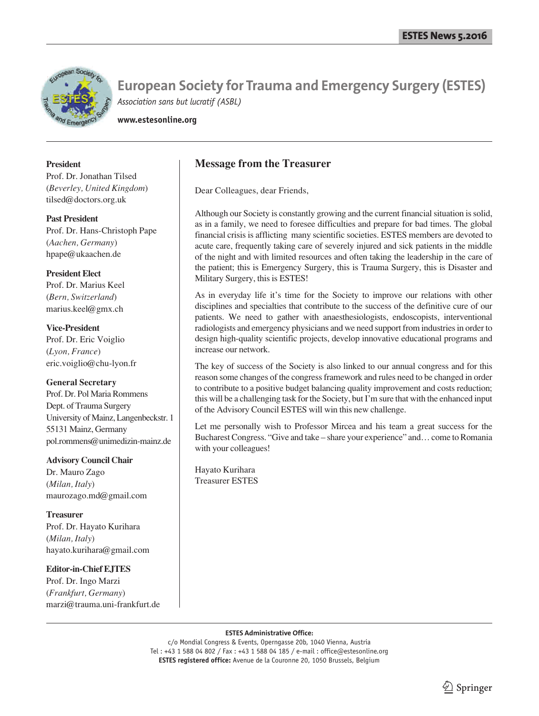

**www.estesonline.org**

#### **President**

Prof. Dr. Jonathan Tilsed (*Beverley, United Kingdom*) tilsed@doctors.org.uk

**Past President** Prof. Dr. Hans-Christoph Pape (*Aachen, Germany*) hpape@ukaachen.de

## **President Elect**

Prof. Dr. Marius Keel (*Bern, Switzerland*) marius.keel@gmx.ch

**Vice-President** Prof. Dr. Eric Voiglio (*Lyon, France*) eric.voiglio@chu-lyon.fr

### **General Secretary**

Prof. Dr. Pol Maria Rommens Dept. of Trauma Surgery University of Mainz, Langenbeckstr. 1 55131 Mainz, Germany pol.rommens@unimedizin-mainz.de

# **Advisory Council Chair**

Dr. Mauro Zago (*Milan, Italy*) maurozago.md@gmail.com

**Treasurer** Prof. Dr. Hayato Kurihara (*Milan, Italy*) hayato.kurihara@gmail.com

### **Editor-in-Chief EJTES**

Prof. Dr. Ingo Marzi (*Frankfurt, Germany*) marzi@trauma.uni-frankfurt.de

## **Message from the Treasurer**

Dear Colleagues, dear Friends,

Although our Society is constantly growing and the current financial situation is solid, as in a family, we need to foresee difficulties and prepare for bad times. The global financial crisis is afflicting many scientific societies. ESTES members are devoted to acute care, frequently taking care of severely injured and sick patients in the middle of the night and with limited resources and often taking the leadership in the care of the patient; this is Emergency Surgery, this is Trauma Surgery, this is Disaster and Military Surgery, this is ESTES!

As in everyday life it's time for the Society to improve our relations with other disciplines and specialties that contribute to the success of the definitive cure of our patients. We need to gather with anaesthesiologists, endoscopists, interventional radiologists and emergency physicians and we need support from industries in order to design high-quality scientific projects, develop innovative educational programs and increase our network.

The key of success of the Society is also linked to our annual congress and for this reason some changes of the congress framework and rules need to be changed in order to contribute to a positive budget balancing quality improvement and costs reduction; this will be a challenging task for the Society, but I'm sure that with the enhanced input of the Advisory Council ESTES will win this new challenge.

Let me personally wish to Professor Mircea and his team a great success for the Bucharest Congress. "Give and take – share your experience" and… come to Romania with your colleagues!

Hayato Kurihara Treasurer ESTES

#### **ESTES Administrative Office:**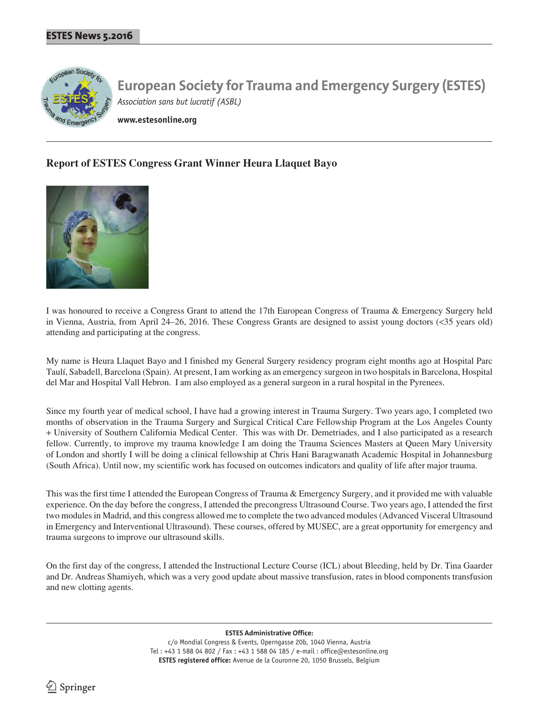

**www.estesonline.org**

# **Report of ESTES Congress Grant Winner Heura Llaquet Bayo**



I was honoured to receive a Congress Grant to attend the 17th European Congress of Trauma & Emergency Surgery held in Vienna, Austria, from April 24–26, 2016. These Congress Grants are designed to assist young doctors (<35 years old) attending and participating at the congress.

My name is Heura Llaquet Bayo and I finished my General Surgery residency program eight months ago at Hospital Parc Taulí, Sabadell, Barcelona (Spain). At present, I am working as an emergency surgeon in two hospitals in Barcelona, Hospital del Mar and Hospital Vall Hebron. I am also employed as a general surgeon in a rural hospital in the Pyrenees.

Since my fourth year of medical school, I have had a growing interest in Trauma Surgery. Two years ago, I completed two months of observation in the Trauma Surgery and Surgical Critical Care Fellowship Program at the Los Angeles County + University of Southern California Medical Center. This was with Dr. Demetriades, and I also participated as a research fellow. Currently, to improve my trauma knowledge I am doing the Trauma Sciences Masters at Queen Mary University of London and shortly I will be doing a clinical fellowship at Chris Hani Baragwanath Academic Hospital in Johannesburg (South Africa). Until now, my scientific work has focused on outcomes indicators and quality of life after major trauma.

This was the first time I attended the European Congress of Trauma & Emergency Surgery, and it provided me with valuable experience. On the day before the congress, I attended the precongress Ultrasound Course. Two years ago, I attended the first two modules in Madrid, and this congress allowed me to complete the two advanced modules (Advanced Visceral Ultrasound in Emergency and Interventional Ultrasound). These courses, offered by MUSEC, are a great opportunity for emergency and trauma surgeons to improve our ultrasound skills.

On the first day of the congress, I attended the Instructional Lecture Course (ICL) about Bleeding, held by Dr. Tina Gaarder and Dr. Andreas Shamiyeh, which was a very good update about massive transfusion, rates in blood components transfusion and new clotting agents.

> **ESTES Administrative Office:** c/o Mondial Congress & Events, Operngasse 20b, 1040 Vienna, Austria Tel : +43 1 588 04 802 / Fax : +43 1 588 04 185 / e-mail : office@estesonline.org **ESTES registered office:** Avenue de la Couronne 20, 1050 Brussels, Belgium

 $\Im$  Springer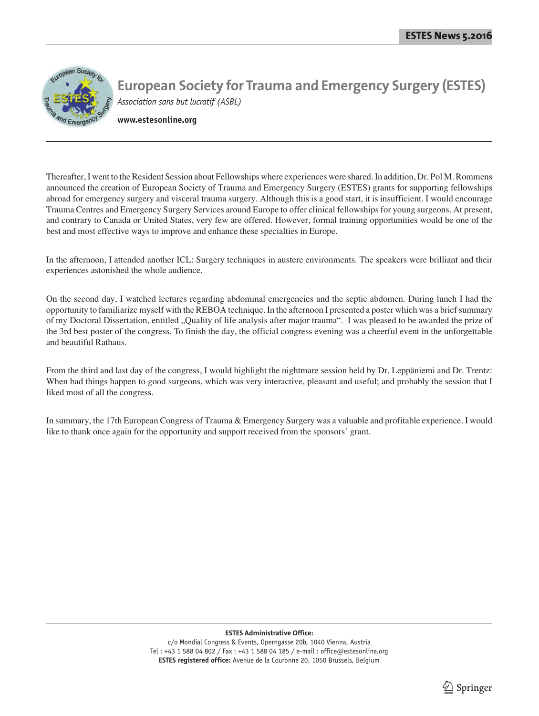

**www.estesonline.org**

Thereafter, I went to the Resident Session about Fellowships where experiences were shared. In addition, Dr. Pol M. Rommens announced the creation of European Society of Trauma and Emergency Surgery (ESTES) grants for supporting fellowships abroad for emergency surgery and visceral trauma surgery. Although this is a good start, it is insufficient. I would encourage Trauma Centres and Emergency Surgery Services around Europe to offer clinical fellowships for young surgeons. At present, and contrary to Canada or United States, very few are offered. However, formal training opportunities would be one of the best and most effective ways to improve and enhance these specialties in Europe.

In the afternoon, I attended another ICL: Surgery techniques in austere environments. The speakers were brilliant and their experiences astonished the whole audience.

On the second day, I watched lectures regarding abdominal emergencies and the septic abdomen. During lunch I had the opportunity to familiarize myself with the REBOA technique. In the afternoon I presented a poster which was a brief summary of my Doctoral Dissertation, entitled "Quality of life analysis after major trauma". I was pleased to be awarded the prize of the 3rd best poster of the congress. To finish the day, the official congress evening was a cheerful event in the unforgettable and beautiful Rathaus.

From the third and last day of the congress, I would highlight the nightmare session held by Dr. Leppäniemi and Dr. Trentz: When bad things happen to good surgeons, which was very interactive, pleasant and useful; and probably the session that I liked most of all the congress.

In summary, the 17th European Congress of Trauma & Emergency Surgery was a valuable and profitable experience. I would like to thank once again for the opportunity and support received from the sponsors' grant.

#### **ESTES Administrative Office:**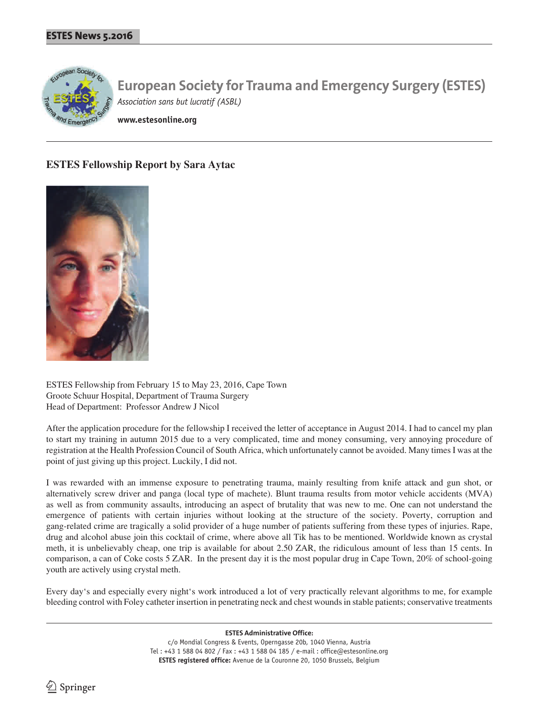

**www.estesonline.org**

# **ESTES Fellowship Report by Sara Aytac**



ESTES Fellowship from February 15 to May 23, 2016, Cape Town Groote Schuur Hospital, Department of Trauma Surgery Head of Department: Professor Andrew J Nicol

After the application procedure for the fellowship I received the letter of acceptance in August 2014. I had to cancel my plan to start my training in autumn 2015 due to a very complicated, time and money consuming, very annoying procedure of registration at the Health Profession Council of South Africa, which unfortunately cannot be avoided. Many times I was at the point of just giving up this project. Luckily, I did not.

I was rewarded with an immense exposure to penetrating trauma, mainly resulting from knife attack and gun shot, or alternatively screw driver and panga (local type of machete). Blunt trauma results from motor vehicle accidents (MVA) as well as from community assaults, introducing an aspect of brutality that was new to me. One can not understand the emergence of patients with certain injuries without looking at the structure of the society. Poverty, corruption and gang-related crime are tragically a solid provider of a huge number of patients suffering from these types of injuries. Rape, drug and alcohol abuse join this cocktail of crime, where above all Tik has to be mentioned. Worldwide known as crystal meth, it is unbelievably cheap, one trip is available for about 2.50 ZAR, the ridiculous amount of less than 15 cents. In comparison, a can of Coke costs 5 ZAR. In the present day it is the most popular drug in Cape Town, 20% of school-going youth are actively using crystal meth.

Every day's and especially every night's work introduced a lot of very practically relevant algorithms to me, for example bleeding control with Foley catheter insertion in penetrating neck and chest wounds in stable patients; conservative treatments

> **ESTES Administrative Office:** c/o Mondial Congress & Events, Operngasse 20b, 1040 Vienna, Austria Tel : +43 1 588 04 802 / Fax : +43 1 588 04 185 / e-mail : office@estesonline.org **ESTES registered office:** Avenue de la Couronne 20, 1050 Brussels, Belgium

 $\textcircled{2}$  Springer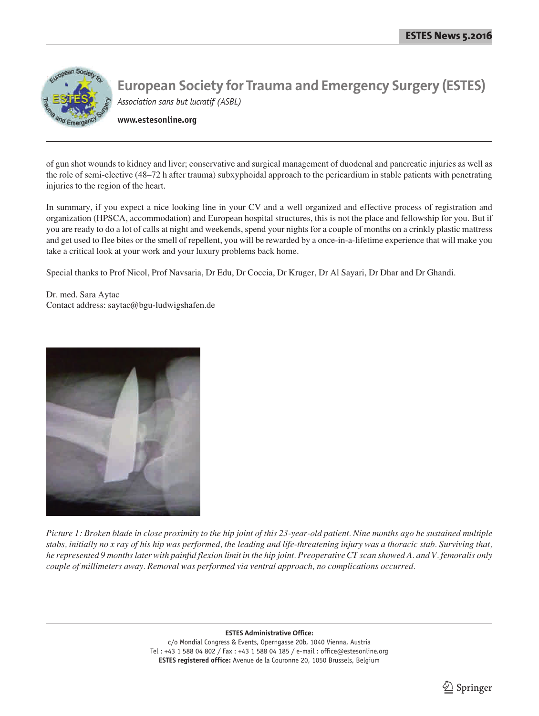

**www.estesonline.org**

of gun shot wounds to kidney and liver; conservative and surgical management of duodenal and pancreatic injuries as well as the role of semi-elective (48–72 h after trauma) subxyphoidal approach to the pericardium in stable patients with penetrating injuries to the region of the heart.

In summary, if you expect a nice looking line in your CV and a well organized and effective process of registration and organization (HPSCA, accommodation) and European hospital structures, this is not the place and fellowship for you. But if you are ready to do a lot of calls at night and weekends, spend your nights for a couple of months on a crinkly plastic mattress and get used to flee bites or the smell of repellent, you will be rewarded by a once-in-a-lifetime experience that will make you take a critical look at your work and your luxury problems back home.

Special thanks to Prof Nicol, Prof Navsaria, Dr Edu, Dr Coccia, Dr Kruger, Dr Al Sayari, Dr Dhar and Dr Ghandi.

Dr. med. Sara Aytac Contact address: saytac@bgu-ludwigshafen.de



*Picture 1: Broken blade in close proximity to the hip joint of this 23-year-old patient. Nine months ago he sustained multiple stabs, initially no x ray of his hip was performed, the leading and life-threatening injury was a thoracic stab. Surviving that, he represented 9 months later with painful flexion limit in the hip joint. Preoperative CT scan showed A. and V. femoralis only couple of millimeters away. Removal was performed via ventral approach, no complications occurred.*

**ESTES Administrative Office:**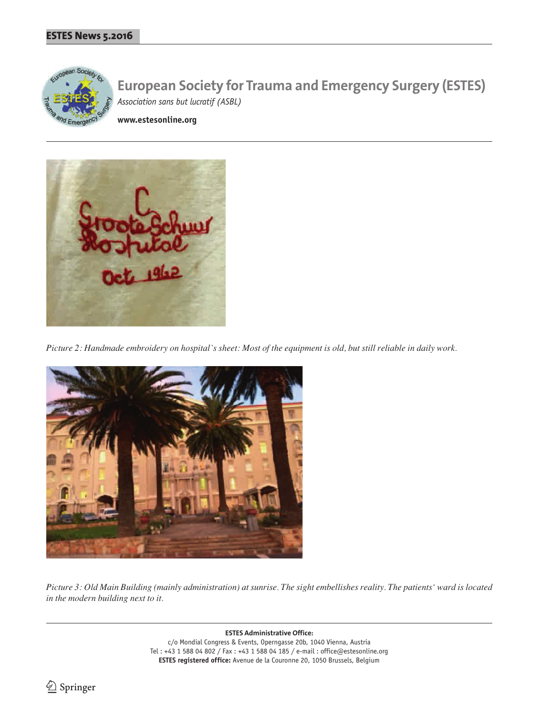

**www.estesonline.org**



*Picture 2: Handmade embroidery on hospital`s sheet: Most of the equipment is old, but still reliable in daily work.*



*Picture 3: Old Main Building (mainly administration) at sunrise. The sight embellishes reality. The patients' ward is located in the modern building next to it.*

> **ESTES Administrative Office:** c/o Mondial Congress & Events, Operngasse 20b, 1040 Vienna, Austria Tel : +43 1 588 04 802 / Fax : +43 1 588 04 185 / e-mail : office@estesonline.org **ESTES registered office:** Avenue de la Couronne 20, 1050 Brussels, Belgium

<sup>2</sup> Springer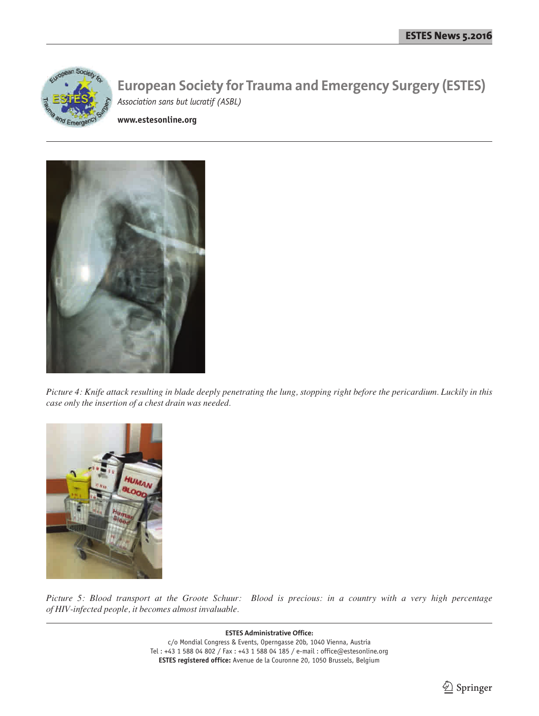

**www.estesonline.org**



*Picture 4: Knife attack resulting in blade deeply penetrating the lung, stopping right before the pericardium. Luckily in this case only the insertion of a chest drain was needed.*



*Picture 5: Blood transport at the Groote Schuur: Blood is precious: in a country with a very high percentage of HIV-infected people, it becomes almost invaluable.*

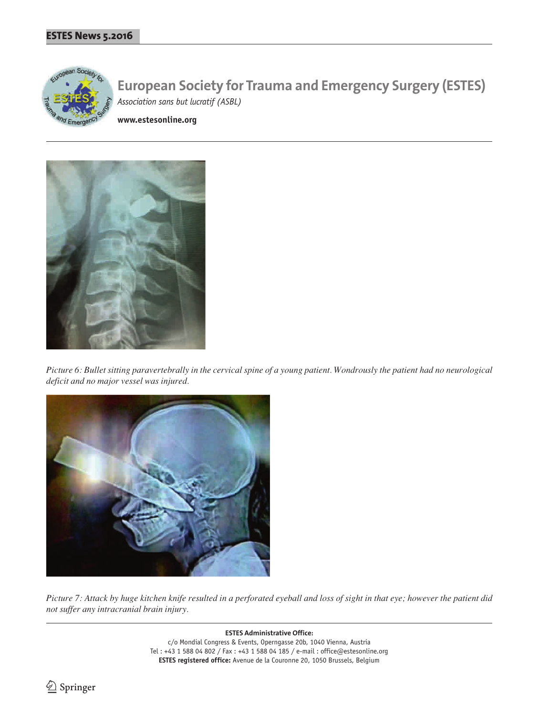

**www.estesonline.org**



*Picture 6: Bullet sitting paravertebrally in the cervical spine of a young patient. Wondrously the patient had no neurological deficit and no major vessel was injured.*



*Picture 7: Attack by huge kitchen knife resulted in a perforated eyeball and loss of sight in that eye; however the patient did not suffer any intracranial brain injury.*

> **ESTES Administrative Office:** c/o Mondial Congress & Events, Operngasse 20b, 1040 Vienna, Austria Tel : +43 1 588 04 802 / Fax : +43 1 588 04 185 / e-mail : office@estesonline.org **ESTES registered office:** Avenue de la Couronne 20, 1050 Brussels, Belgium

<sup>2</sup> Springer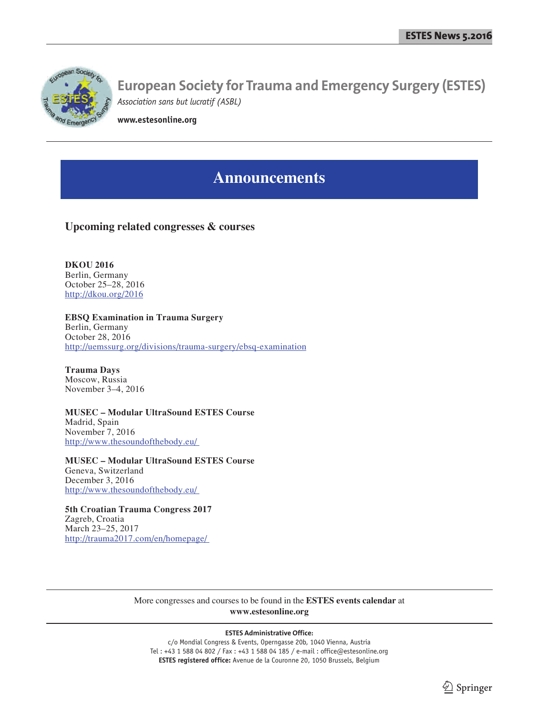

**www.estesonline.org**

# **Announcements**

# **Upcoming related congresses & courses**

**DKOU 2016** Berlin, Germany October 25–28, 2016 http://dkou.org/2016

**EBSQ Examination in Trauma Surgery** Berlin, Germany October 28, 2016 http://uemssurg.org/divisions/trauma-surgery/ebsq-examination

**Trauma Days** Moscow, Russia November 3–4, 2016

**MUSEC – Modular UltraSound ESTES Course** Madrid, Spain November 7, 2016 http://www.thesoundofthebody.eu/

**MUSEC – Modular UltraSound ESTES Course** Geneva, Switzerland December 3, 2016 http://www.thesoundofthebody.eu/

**5th Croatian Trauma Congress 2017** Zagreb, Croatia March 23–25, 2017 http://trauma2017.com/en/homepage/

> More congresses and courses to be found in the **ESTES events calendar** at **www.estesonline.org**

#### **ESTES Administrative Office:**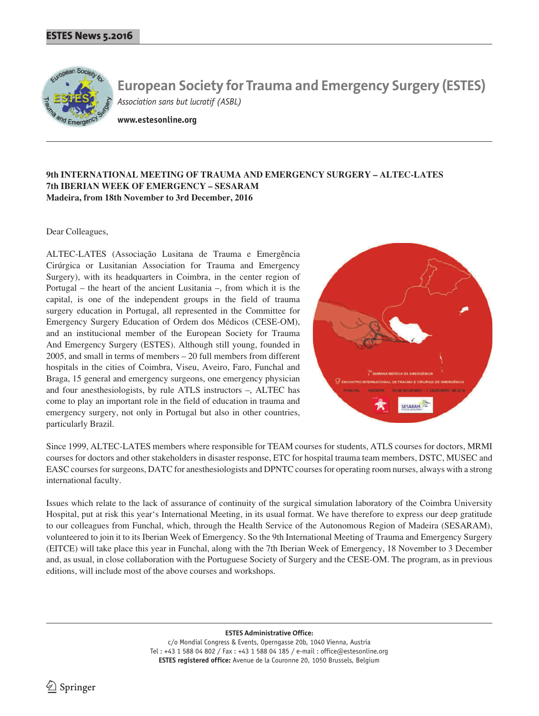

**www.estesonline.org**

### **9th INTERNATIONAL MEETING OF TRAUMA AND EMERGENCY SURGERY – ALTEC-LATES 7th IBERIAN WEEK OF EMERGENCY – SESARAM Madeira, from 18th November to 3rd December, 2016**

#### Dear Colleagues,

ALTEC-LATES (Associação Lusitana de Trauma e Emergência Cirúrgica or Lusitanian Association for Trauma and Emergency Surgery), with its headquarters in Coimbra, in the center region of Portugal – the heart of the ancient Lusitania –, from which it is the capital, is one of the independent groups in the field of trauma surgery education in Portugal, all represented in the Committee for Emergency Surgery Education of Ordem dos Médicos (CESE-OM), and an institucional member of the European Society for Trauma And Emergency Surgery (ESTES). Although still young, founded in 2005, and small in terms of members – 20 full members from different hospitals in the cities of Coimbra, Viseu, Aveiro, Faro, Funchal and Braga, 15 general and emergency surgeons, one emergency physician and four anesthesiologists, by rule ATLS instructors –, ALTEC has come to play an important role in the field of education in trauma and emergency surgery, not only in Portugal but also in other countries, particularly Brazil.



Since 1999, ALTEC-LATES members where responsible for TEAM courses for students, ATLS courses for doctors, MRMI courses for doctors and other stakeholders in disaster response, ETC for hospital trauma team members, DSTC, MUSEC and EASC courses for surgeons, DATC for anesthesiologists and DPNTC courses for operating room nurses, always with a strong international faculty.

Issues which relate to the lack of assurance of continuity of the surgical simulation laboratory of the Coimbra University Hospital, put at risk this year's International Meeting, in its usual format. We have therefore to express our deep gratitude to our colleagues from Funchal, which, through the Health Service of the Autonomous Region of Madeira (SESARAM), volunteered to join it to its Iberian Week of Emergency. So the 9th International Meeting of Trauma and Emergency Surgery (EITCE) will take place this year in Funchal, along with the 7th Iberian Week of Emergency, 18 November to 3 December and, as usual, in close collaboration with the Portuguese Society of Surgery and the CESE-OM. The program, as in previous editions, will include most of the above courses and workshops.